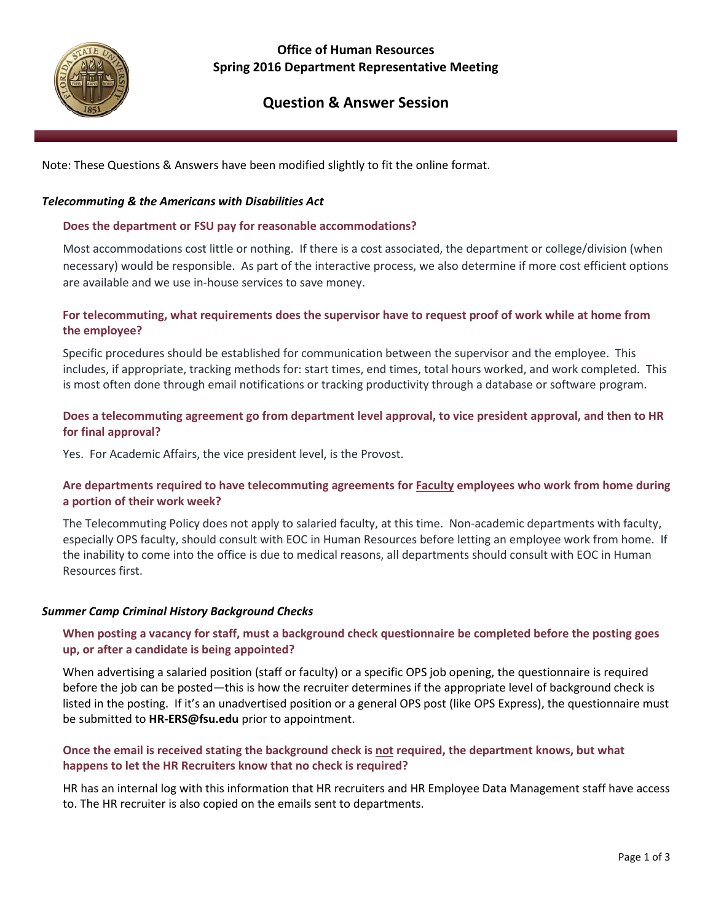

## **Office of Human Resources Spring 2016 Department Representative Meeting**

# **Question & Answer Session**

Note: These Questions & Answers have been modified slightly to fit the online format.

## *Telecommuting & the Americans with Disabilities Act*

#### **Does the department or FSU pay for reasonable accommodations?**

Most accommodations cost little or nothing. If there is a cost associated, the department or college/division (when necessary) would be responsible. As part of the interactive process, we also determine if more cost efficient options are available and we use in-house services to save money.

## **For telecommuting, what requirements does the supervisor have to request proof of work while at home from the employee?**

Specific procedures should be established for communication between the supervisor and the employee. This includes, if appropriate, tracking methods for: start times, end times, total hours worked, and work completed. This is most often done through email notifications or tracking productivity through a database or software program.

## **Does a telecommuting agreement go from department level approval, to vice president approval, and then to HR for final approval?**

Yes. For Academic Affairs, the vice president level, is the Provost.

## **Are departments required to have telecommuting agreements for Faculty employees who work from home during a portion of their work week?**

The Telecommuting Policy does not apply to salaried faculty, at this time. Non-academic departments with faculty, especially OPS faculty, should consult with EOC in Human Resources before letting an employee work from home. If the inability to come into the office is due to medical reasons, all departments should consult with EOC in Human Resources first.

## *Summer Camp Criminal History Background Checks*

## **When posting a vacancy for staff, must a background check questionnaire be completed before the posting goes up, or after a candidate is being appointed?**

When advertising a salaried position (staff or faculty) or a specific OPS job opening, the questionnaire is required before the job can be posted—this is how the recruiter determines if the appropriate level of background check is listed in the posting. If it's an unadvertised position or a general OPS post (like OPS Express), the questionnaire must be submitted to **HR-ERS@fsu.edu** prior to appointment.

## **Once the email is received stating the background check is not required, the department knows, but what happens to let the HR Recruiters know that no check is required?**

HR has an internal log with this information that HR recruiters and HR Employee Data Management staff have access to. The HR recruiter is also copied on the emails sent to departments.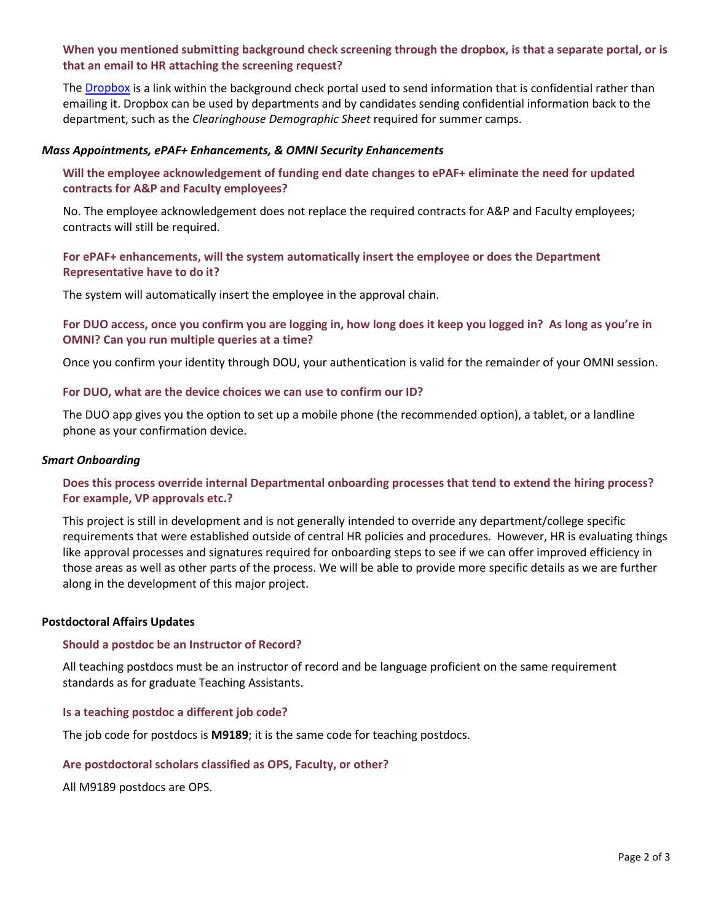## **When you mentioned submitting background check screening through the dropbox, is that a separate portal, or is that an email to HR attaching the screening request?**

The [Dropbox](https://dropbox.fsu.edu/?action=login) is a link within the background check portal used to send information that is confidential rather than emailing it. Dropbox can be used by departments and by candidates sending confidential information back to the department, such as the *Clearinghouse Demographic Sheet* required for summer camps.

#### *Mass Appointments, ePAF+ Enhancements, & OMNI Security Enhancements*

## **Will the employee acknowledgement of funding end date changes to ePAF+ eliminate the need for updated contracts for A&P and Faculty employees?**

No. The employee acknowledgement does not replace the required contracts for A&P and Faculty employees; contracts will still be required.

#### **For ePAF+ enhancements, will the system automatically insert the employee or does the Department Representative have to do it?**

The system will automatically insert the employee in the approval chain.

#### **For DUO access, once you confirm you are logging in, how long does it keep you logged in? As long as you're in OMNI? Can you run multiple queries at a time?**

Once you confirm your identity through DOU, your authentication is valid for the remainder of your OMNI session.

#### **For DUO, what are the device choices we can use to confirm our ID?**

The DUO app gives you the option to set up a mobile phone (the recommended option), a tablet, or a landline phone as your confirmation device.

#### *Smart Onboarding*

#### **Does this process override internal Departmental onboarding processes that tend to extend the hiring process? For example, VP approvals etc.?**

This project is still in development and is not generally intended to override any department/college specific requirements that were established outside of central HR policies and procedures. However, HR is evaluating things like approval processes and signatures required for onboarding steps to see if we can offer improved efficiency in those areas as well as other parts of the process. We will be able to provide more specific details as we are further along in the development of this major project.

#### **Postdoctoral Affairs Updates**

#### **Should a postdoc be an Instructor of Record?**

All teaching postdocs must be an instructor of record and be language proficient on the same requirement standards as for graduate Teaching Assistants.

#### **Is a teaching postdoc a different job code?**

The job code for postdocs is **M9189**; it is the same code for teaching postdocs.

#### **Are postdoctoral scholars classified as OPS, Faculty, or other?**

All M9189 postdocs are OPS.